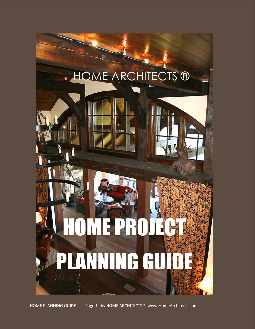# **HOME ARCHITECTS ®**

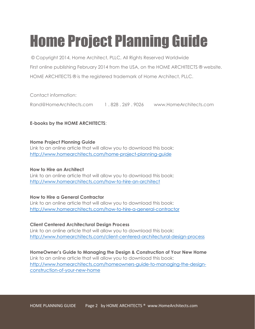# Home Project Planning Guide

 © Copyright 2014, Home Architect, PLLC, All Rights Reserved Worldwide First online publishing February 2014 from the USA, on the HOME ARCHITECTS ® website. HOME ARCHITECTS ® is the registered trademark of Home Architect, PLLC.

Contact information:

Rand@HomeArchitects.com 1 . 828 . 269 . 9026 www.HomeArchitects.com

E-books by the HOME ARCHITECTS:

#### Home Project Planning Guide

Link to an online article that will allow you to download this book: http://www.homearchitects.com/home-project-planning-guide

#### How to Hire an Architect

Link to an online article that will allow you to download this book: http://www.homearchitects.com/how-to-hire-an-architect

#### How to Hire a General Contractor

Link to an online article that will allow you to download this book: http://www.homearchitects.com/how-to-hire-a-general-contractor

#### Client Centered Architectural Design Process

Link to an online article that will allow you to download this book: http://www.homearchitects.com/client-centered-architectural-design-process

#### HomeOwner's Guide to Managing the Design & Construction of Your New Home Link to an online article that will allow you to download this book: http://www.homearchitects.com/homeowners-guide-to-managing-the-designconstruction-of-your-new-home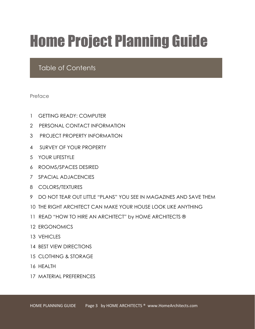# Home Project Planning Guide

### Table of Contents

Preface

- 1 GETTING READY: COMPUTER
- 2 PERSONAL CONTACT INFORMATION
- 3 PROJECT PROPERTY INFORMATION
- 4 SURVEY OF YOUR PROPERTY
- 5 YOUR LIFESTYLE
- 6 ROOMS/SPACES DESIRED
- 7 SPACIAL ADJACENCIES
- 8 COLORS/TEXTURES
- 9 DO NOT TEAR OUT LITTLE "PLANS" YOU SEE IN MAGAZINES AND SAVE THEM
- 10 THE RIGHT ARCHITECT CAN MAKE YOUR HOUSE LOOK LIKE ANYTHING
- 11 READ "HOW TO HIRE AN ARCHITECT" by HOME ARCHITECTS ®
- 12 ERGONOMICS
- 13 VEHICLES
- 14 BEST VIEW DIRECTIONS
- 15 CLOTHING & STORAGE
- 16 HEALTH
- 17 MATERIAL PREFERENCES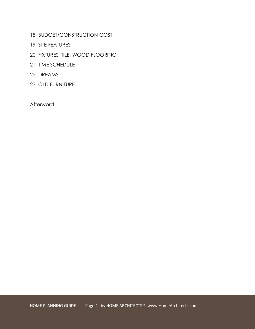- 18 BUDGET/CONSTRUCTION COST
- 19 SITE FEATURES
- 20 FIXTURES, TILE, WOOD FLOORING
- 21 TIME SCHEDULE
- 22 DREAMS
- 23 OLD FURNITURE

Afterword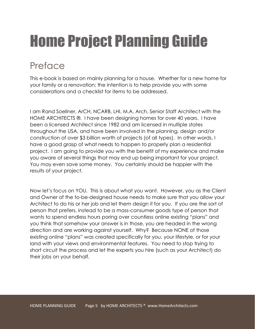# Home Project Planning Guide

### Preface

This e-book is based on mainly planning for a house. Whether for a new home for your family or a renovation; the intention is to help provide you with some considerations and a checklist for items to be addressed.

I am Rand Soellner, ArCH, NCARB, LHI, M.A. Arch, Senior Staff Architect with the HOME ARCHITECTS ®. I have been designing homes for over 40 years. I have been a licensed Architect since 1982 and am licensed in multiple states throughout the USA, and have been involved in the planning, design and/or construction of over \$3 billion worth of projects (of all types). In other words, I have a good grasp of what needs to happen to properly plan a residential project. I am going to provide you with the benefit of my experience and make you aware of several things that may end up being important for your project. You may even save some money. You certainly should be happier with the results of your project.

Now let's focus on YOU. This is about what you want. However, you as the Client and Owner of the to-be-designed house needs to make sure that you allow your Architect to do his or her job and let them design it for you. If you are the sort of person that prefers, instead to be a mass-consumer goods type of person that wants to spend endless hours poring over countless online existing "plans" and you think that somehow your answer is in those, you are headed in the wrong direction and are working against yourself. Why? Because NONE of those existing online "plans" was created specifically for you, your lifestyle, or for your land with your views and environmental features. You need to stop trying to short circuit the process and let the experts you hire (such as your Architect) do their jobs on your behalf.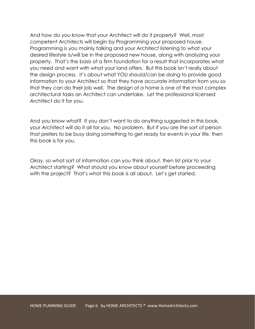And how do you know that your Architect will do it properly? Well, most competent Architects will begin by Programming your proposed house. Programming is you mainly talking and your Architect listening to what your desired lifestyle is/will be in the proposed new house, along with analyzing your property. That's the basis of a firm foundation for a result that incorporates what you need and want with what your land offers. But this book isn't really about the design process. It's about what YOU should/can be doing to provide good information to your Architect so that they have accurate information from you so that they can do their job well. The design of a home is one of the most complex architectural tasks an Architect can undertake. Let the professional licensed Architect do it for you.

And you know what? If you don't want to do anything suggested in this book, your Architect will do it all for you. No problem. But if you are the sort of person that prefers to be busy doing something to get ready for events in your life, then this book is for you.

Okay, so what sort of information can you think about, then list prior to your Architect starting? What should you know about yourself before proceeding with the project? That's what this book is all about. Let's get started.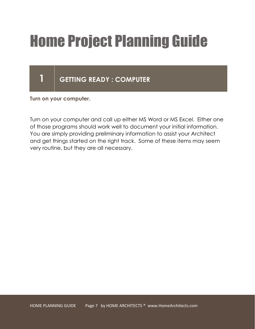# Home Project Planning Guide

### 1 GETTING READY : COMPUTER

Turn on your computer.

Turn on your computer and call up either MS Word or MS Excel. Either one of those programs should work well to document your initial information. You are simply providing preliminary information to assist your Architect and get things started on the right track. Some of these items may seem very routine, but they are all necessary.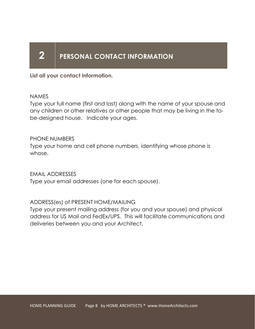### 2 PERSONAL CONTACT INFORMATION

List all your contact information.

#### NAMES

Type your full name (first and last) along with the name of your spouse and any children or other relatives or other people that may be living in the tobe-designed house. Indicate your ages.

### PHONE NUMBERS

Type your home and cell phone numbers, identifying whose phone is whose.

EMAIL ADDRESSES

Type your email addresses (one for each spouse).

### ADDRESS(es) of PRESENT HOME/MAILING

Type your present mailing address (for you and your spouse) and physical address for US Mail and FedEx/UPS. This will facilitate communications and deliveries between you and your Architect.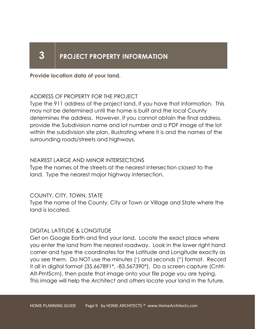### 3 PROJECT PROPERTY INFORMATION

Provide location data of your land.

### ADDRESS OF PROPERTY FOR THE PROJECT

Type the 911 address of the project land, if you have that information. This may not be determined until the home is built and the local County determines the address. However, if you cannot obtain the final address, provide the Subdivision name and lot number and a PDF image of the lot within the subdivision site plan, illustrating where it is and the names of the surrounding roads/streets and highways.

### NEAREST LARGE AND MINOR INTERSECTIONS

Type the names of the streets at the nearest intersection closest to the land. Type the nearest major highway intersection.

#### COUNTY, CITY, TOWN, STATE

Type the name of the County, City or Town or Village and State where the land is located.

#### DIGITAL LATITUDE & LONGITUDE

Get on Google Earth and find your land. Locate the exact place where you enter the land from the nearest roadway. Look in the lower right hand corner and type the coordinates for the Latitude and Longitude exactly as you see them. Do NOT use the minutes (') and seconds (") format. Record it all in digital format (35.667891\*, -83.567390\*). Do a screen capture (Cntrl-Alt-PrntScrn), then paste that image onto your file page you are typing. This image will help the Architect and others locate your land in the future.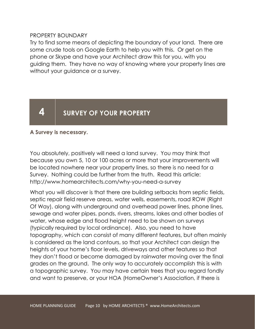#### PROPERTY BOUNDARY

Try to find some means of depicting the boundary of your land. There are some crude tools on Google Earth to help you with this. Or get on the phone or Skype and have your Architect draw this for you, with you guiding them. They have no way of knowing where your property lines are without your guidance or a survey.

### 4 SURVEY OF YOUR PROPERTY

#### A Survey is necessary.

You absolutely, positively will need a land survey. You may think that because you own 5, 10 or 100 acres or more that your improvements will be located nowhere near your property lines, so there is no need for a Survey. Nothing could be further from the truth. Read this article: http://www.homearchitects.com/why-you-need-a-survey

What you will discover is that there are building setbacks from septic fields, septic repair field reserve areas, water wells, easements, road ROW (Right Of Way), along with underground and overhead power lines, phone lines, sewage and water pipes, ponds, rivers, streams, lakes and other bodies of water, whose edge and flood height need to be shown on surveys (typically required by local ordinance). Also, you need to have topography, which can consist of many different features, but often mainly is considered as the land contours, so that your Architect can design the heights of your home's floor levels, driveways and other features so that they don't flood or become damaged by rainwater moving over the final grades on the ground. The only way to accurately accomplish this is with a topographic survey. You may have certain trees that you regard fondly and want to preserve, or your HOA (HomeOwner's Association, if there is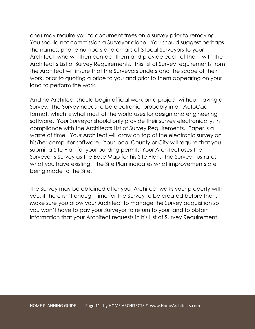one) may require you to document trees on a survey prior to removing. You should not commission a Surveyor alone. You should suggest perhaps the names, phone numbers and emails of 3 local Surveyors to your Architect, who will then contact them and provide each of them with the Architect's List of Survey Requirements. This list of Survey requirements from the Architect will insure that the Surveyors understand the scope of their work, prior to quoting a price to you and prior to them appearing on your land to perform the work.

And no Architect should begin official work on a project without having a Survey. The Survey needs to be electronic, probably in an AutoCad format, which is what most of the world uses for design and engineering software. Your Surveyor should only provide their survey electronically, in compliance with the Architects List of Survey Requirements. Paper is a waste of time. Your Architect will draw on top of the electronic survey on his/her computer software. Your local County or City will require that you submit a Site Plan for your building permit. Your Architect uses the Surveyor's Survey as the Base Map for his Site Plan. The Survey illustrates what you have existing. The Site Plan indicates what improvements are being made to the Site.

The Survey may be obtained after your Architect walks your property with you, if there isn't enough time for the Survey to be created before then. Make sure you allow your Architect to manage the Survey acquisition so you won't have to pay your Surveyor to return to your land to obtain information that your Architect requests in his List of Survey Requirement.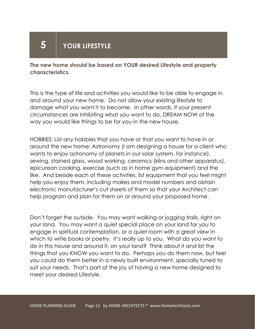### $5$  | YOUR LIFESTYLE

The new home should be based on YOUR desired Lifestyle and property characteristics.

This is the type of life and activities you would like to be able to engage in and around your new home. Do not allow your existing lifestyle to damage what you want it to become. In other words, if your present circumstances are inhibiting what you want to do, DREAM NOW of the way you would like things to be for you in the new house.

HOBBIES: List any hobbies that you have or that you want to have in or around the new home: Astronomy (I am designing a house for a client who wants to enjoy astronomy of planets in our solar system, for instance), sewing, stained glass, wood working, ceramics (kilns and other apparatus), epicurean cooking, exercise (such as in home gym equipment) and the like. And beside each of these activities, list equipment that you feel might help you enjoy them, including makes and model numbers and obtain electronic manufacturer's cut sheets of them so that your Architect can help program and plan for them on or around your proposed home.

Don't forget the outside. You may want walking or jogging trails, right on your land. You may want a quiet special place on your land for you to engage in spiritual contemplation, or a quiet room with a great view in which to write books or poetry. It's really up to you. What do you want to do in this house and around it, on your land? Think about it and list the things that you KNOW you want to do. Perhaps you do them now, but feel you could do them better in a newly built environment, specially tuned to suit your needs. That's part of the joy of having a new home designed to meet your desired Lifestyle.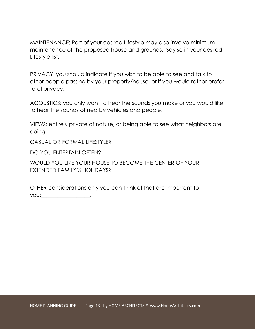MAINTENANCE: Part of your desired Lifestyle may also involve minimum maintenance of the proposed house and grounds. Say so in your desired Lifestyle list.

PRIVACY: you should indicate if you wish to be able to see and talk to other people passing by your property/house, or if you would rather prefer total privacy.

ACOUSTICS: you only want to hear the sounds you make or you would like to hear the sounds of nearby vehicles and people.

VIEWS: entirely private of nature, or being able to see what neighbors are doing.

CASUAL OR FORMAL LIFESTYLE?

DO YOU ENTERTAIN OFTEN?

WOULD YOU LIKE YOUR HOUSE TO BECOME THE CENTER OF YOUR EXTENDED FAMILY'S HOLIDAYS?

OTHER considerations only you can think of that are important to you:\_\_\_\_\_\_\_\_\_\_\_\_\_\_\_\_\_\_.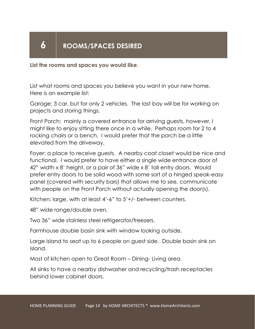### 6 | ROOMS/SPACES DESIRED

List the rooms and spaces you would like.

List what rooms and spaces you believe you want in your new home. Here is an example list:

Garage: 3 car, but for only 2 vehicles. The last bay will be for working on projects and storing things.

Front Porch: mainly a covered entrance for arriving guests, however, I might like to enjoy sitting there once in a while. Perhaps room for 2 to 4 rocking chairs or a bench. I would prefer that the porch be a little elevated from the driveway.

Foyer: a place to receive guests. A nearby coat closet would be nice and functional. I would prefer to have either a single wide entrance door of 42" width x 8' height, or a pair of 36" wide x 8' tall entry doors. Would prefer entry doors to be solid wood with some sort of a hinged speak-easy panel (covered with security bars) that allows me to see, communicate with people on the Front Porch without actually opening the door(s).

Kitchen: large, with at least 4'-6" to 5'+/- between counters.

48" wide range/double oven.

Two 36" wide stainless steel refrigerator/freezers.

Farmhouse double basin sink with window looking outside.

Large island to seat up to 6 people on guest side. Double basin sink on island.

Most of kitchen open to Great Room – Dining- Living area.

All sinks to have a nearby dishwasher and recycling/trash receptacles behind lower cabinet doors.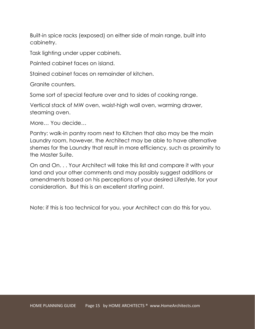Built-in spice racks (exposed) on either side of main range, built into cabinetry.

Task lighting under upper cabinets.

Painted cabinet faces on island.

Stained cabinet faces on remainder of kitchen.

Granite counters.

Some sort of special feature over and to sides of cooking range.

Vertical stack of MW oven, waist-high wall oven, warming drawer, steaming oven.

More… You decide…

Pantry: walk-in pantry room next to Kitchen that also may be the main Laundry room, however, the Architect may be able to have alternative shemes for the Laundry that result in more efficiency, such as proximity to the Master Suite.

On and On. . . Your Architect will take this list and compare it with your land and your other comments and may possibly suggest additions or amendments based on his perceptions of your desired Lifestyle, for your consideration. But this is an excellent starting point.

Note: if this is too technical for you, your Architect can do this for you.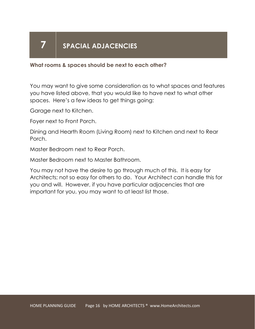### 7 SPACIAL ADJACENCIES

#### What rooms & spaces should be next to each other?

You may want to give some consideration as to what spaces and features you have listed above, that you would like to have next to what other spaces. Here's a few ideas to get things going:

Garage next to Kitchen.

Foyer next to Front Porch.

Dining and Hearth Room (Living Room) next to Kitchen and next to Rear Porch.

Master Bedroom next to Rear Porch.

Master Bedroom next to Master Bathroom.

You may not have the desire to go through much of this. It is easy for Architects; not so easy for others to do. Your Architect can handle this for you and will. However, if you have particular adjacencies that are important for you, you may want to at least list those.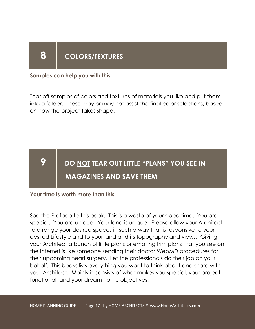### 8 | COLORS/TEXTURES

Samples can help you with this.

Tear off samples of colors and textures of materials you like and put them into a folder. These may or may not assist the final color selections, based on how the project takes shape.

### **9**  $\parallel$  do <u>not</u> tear out little "plans" you see in MAGAZINES AND SAVE THEM

Your time is worth more than this.

See the Preface to this book. This is a waste of your good time. You are special. You are unique. Your land is unique. Please allow your Architect to arrange your desired spaces in such a way that is responsive to your desired Lifestyle and to your land and its topography and views. Giving your Architect a bunch of little plans or emailing him plans that you see on the Internet is like someone sending their doctor WebMD procedures for their upcoming heart surgery. Let the professionals do their job on your behalf. This books lists everything you want to think about and share with your Architect. Mainly it consists of what makes you special, your project functional, and your dream home objectives.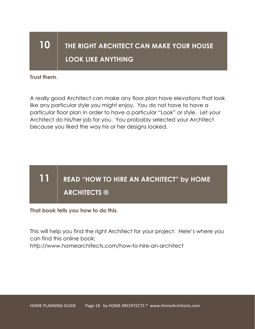### 10 THE RIGHT ARCHITECT CAN MAKE YOUR HOUSE LOOK LIKE ANYTHING

Trust them.

A really good Architect can make any floor plan have elevations that look like any particular style you might enjoy. You do not have to have a particular floor plan in order to have a particular "Look" or style. Let your Architect do his/her job for you. You probably selected your Architect because you liked the way his or her designs looked.

### 11 READ "HOW TO HIRE AN ARCHITECT" by HOME ARCHITECTS ®

That book tells you how to do this.

This will help you find the right Architect for your project. Here's where you can find this online book:

http://www.homearchitects.com/how-to-hire-an-architect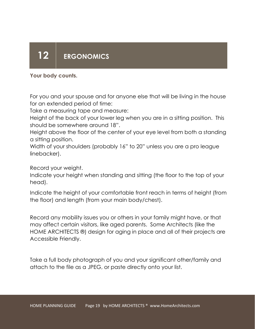### 12 ERGONOMICS

### Your body counts.

For you and your spouse and for anyone else that will be living in the house for an extended period of time:

Take a measuring tape and measure:

Height of the back of your lower leg when you are in a sitting position. This should be somewhere around 18".

Height above the floor of the center of your eye level from both a standing a sitting position.

Width of your shoulders (probably 16" to 20" unless you are a pro league linebacker).

Record your weight.

Indicate your height when standing and sitting (the floor to the top of your head).

Indicate the height of your comfortable front reach in terms of height (from the floor) and length (from your main body/chest).

Record any mobility issues you or others in your family might have, or that may affect certain visitors, like aged parents. Some Architects (like the HOME ARCHITECTS ®) design for aging in place and all of their projects are Accessible Friendly.

Take a full body photograph of you and your significant other/family and attach to the file as a JPEG, or paste directly onto your list.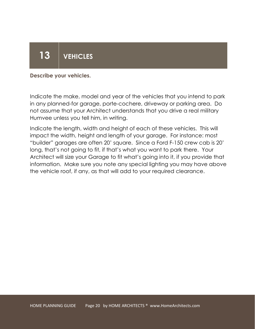# 13 VEHICLES

#### Describe your vehicles.

Indicate the make, model and year of the vehicles that you intend to park in any planned-for garage, porte-cochere, driveway or parking area. Do not assume that your Architect understands that you drive a real military Humvee unless you tell him, in writing.

Indicate the length, width and height of each of these vehicles. This will impact the width, height and length of your garage. For instance: most "builder" garages are often 20' square. Since a Ford F-150 crew cab is 20' long, that's not going to fit, if that's what you want to park there. Your Architect will size your Garage to fit what's going into it, if you provide that information. Make sure you note any special lighting you may have above the vehicle roof, if any, as that will add to your required clearance.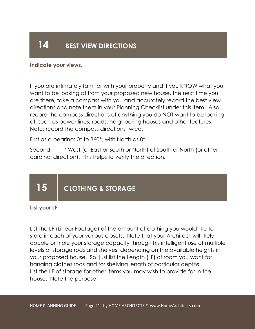### $14$  BEST VIEW DIRECTIONS

Indicate your views.

If you are intimately familiar with your property and if you KNOW what you want to be looking at from your proposed new house, the next time you are there, take a compass with you and accurately record the best view directions and note them in your Planning Checklist under this item. Also, record the compass directions of anything you do NOT want to be looking at, such as power lines, roads, neighboring houses and other features. Note: record the compass directions twice:

First as a bearing: 0\* to 360\*, with North as 0\*

Second: \_\_\_\_\* West (or East or South or North) of South or North (or other cardinal direction). This helps to verify the direction.

### 15 CLOTHING & STORAGE

List your LF.

List the LF (Linear Footage) of the amount of clothing you would like to store in each of your various closets. Note that your Architect will likely double or triple your storage capacity through his intelligent use of multiple levels of storage rods and shelves, depending on the available heights in your proposed house. So: just list the Length (LF) of room you want for hanging clothes rods and for shelving length of particular depths. List the LF of storage for other items you may wish to provide for in the house. Note the purpose.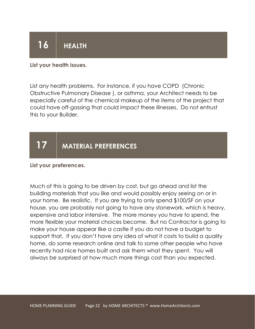## $16$  HEALTH

#### List your health issues.

List any health problems. For instance, if you have COPD (Chronic Obstructive Pulmonary Disease ), or asthma, your Architect needs to be especially careful of the chemical makeup of the items of the project that could have off-gassing that could impact these illnesses. Do not entrust this to your Builder.

### 17 | MATERIAL PREFERENCES

#### List your preferences.

Much of this is going to be driven by cost, but go ahead and list the building materials that you like and would possibly enjoy seeing on or in your home. Be realistic. If you are trying to only spend \$100/SF on your house, you are probably not going to have any stonework, which is heavy, expensive and labor intensive. The more money you have to spend, the more flexible your material choices become. But no Contractor is going to make your house appear like a castle if you do not have a budget to support that. If you don't have any idea of what it costs to build a quality home, do some research online and talk to some other people who have recently had nice homes built and ask them what they spent. You will always be surprised at how much more things cost than you expected.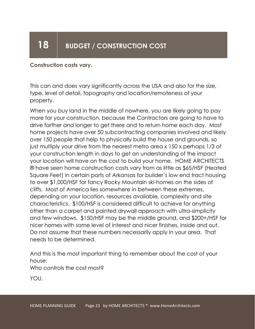### 18 | BUDGET / CONSTRUCTION COST

#### Construction costs vary.

This can and does vary significantly across the USA and also for the size, type, level of detail, topography and location/remoteness of your property.

When you buy land in the middle of nowhere, you are likely going to pay more for your construction, because the Contractors are going to have to drive farther and longer to get there and to return home each day. Most home projects have over 50 subcontracting companies involved and likely over 150 people that help to physically build the house and grounds, so just multiply your drive from the nearest metro area x 150 x perhaps 1/3 of your construction length in days to get an understanding of the impact your location will have on the cost to build your home. HOME ARCHITECTS ® have seen home construction costs vary from as little as \$65/HSF (Heated Square Feet) in certain parts of Arkansas for builder's low end tract housing to over \$1,000/HSF for fancy Rocky Mountain ski-homes on the sides of cliffs. Most of America lies somewhere in between these extremes, depending on your location, resources available, complexity and site characteristics. \$100/HSF is considered difficult to achieve for anything other than a carpet and painted drywall approach with ultra-simplicity and few windows. \$150/HSF may be the middle ground, and \$200+/HSF for nicer homes with some level of interest and nicer finishes, inside and out. Do not assume that these numbers necessarily apply in your area. That needs to be determined.

And this is the most important thing to remember about the cost of your house:

Who controls the cost most?

YOU.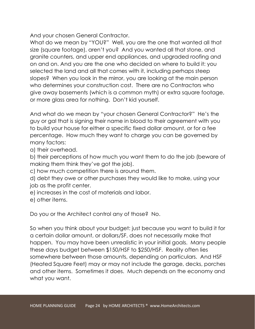And your chosen General Contractor.

What do we mean by "YOU?" Well, you are the one that wanted all that size (square footage), aren't you? And you wanted all that stone, and granite counters, and upper end appliances, and upgraded roofing and on and on. And you are the one who decided on where to build it: you selected the land and all that comes with it, including perhaps steep slopes? When you look in the mirror, you are looking at the main person who determines your construction cost. There are no Contractors who give away basements (which is a common myth) or extra square footage, or more glass area for nothing. Don't kid yourself.

And what do we mean by "your chosen General Contractor?" He's the guy or gal that is signing their name in blood to their agreement with you to build your house for either a specific fixed dollar amount, or for a fee percentage. How much they want to charge you can be governed by many factors:

a) their overhead.

b) their perceptions of how much you want them to do the job (beware of making them think they've got the job).

c) how much competition there is around them.

d) debt they owe or other purchases they would like to make, using your job as the profit center.

- e) increases in the cost of materials and labor.
- e) other items.

Do you or the Architect control any of those? No.

So when you think about your budget: just because you want to build it for a certain dollar amount, or dollars/SF, does not necessarily make that happen. You may have been unrealistic in your initial goals. Many people these days budget between \$150/HSF to \$250/HSF. Reality often lies somewhere between those amounts, depending on particulars. And HSF (Heated Square Feet) may or may not include the garage, decks, porches and other items. Sometimes it does. Much depends on the economy and what you want.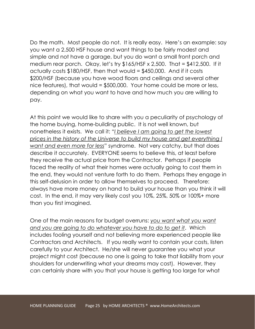Do the math. Most people do not. It is really easy. Here's an example: say you want a 2,500 HSF house and want things to be fairly modest and simple and not have a garage, but you do want a small front porch and medium rear porch. Okay, let's try \$165/HSF x 2,500. That = \$412,500. If it actually costs \$180/HSF, then that would = \$450,000. And if it costs \$200/HSF (because you have wood floors and ceilings and several other nice features), that would = \$500,000. Your home could be more or less, depending on what you want to have and how much you are willing to pay.

At this point we would like to share with you a peculiarity of psychology of the home buying, home-building public. It is not well known, but nonetheless it exists. We call it: "I believe I am going to get the lowest prices in the history of the Universe to build my house and get everything I want and even more for less" syndrome. Not very catchy, but that does describe it accurately. EVERYONE seems to believe this, at least before they receive the actual price from the Contractor. Perhaps if people faced the reality of what their homes were actually going to cost them in the end, they would not venture forth to do them. Perhaps they engage in this self-delusion in order to allow themselves to proceed. Therefore: always have more money on hand to build your house than you think it will cost. In the end, it may very likely cost you 10%, 25%, 50% or 100%+ more than you first imagined.

One of the main reasons for budget overruns: you want what you want and you are going to do whatever you have to do to get it. Which includes fooling yourself and not believing more experienced people like Contractors and Architects. If you really want to contain your costs, listen carefully to your Architect. He/she will never guarantee you what your project might cost (because no one is going to take that liability from your shoulders for underwriting what your dreams may cost). However, they can certainly share with you that your house is getting too large for what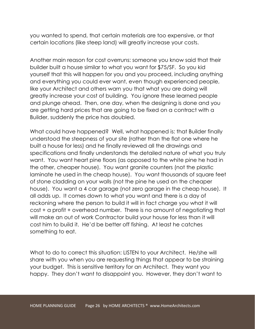you wanted to spend, that certain materials are too expensive, or that certain locations (like steep land) will greatly increase your costs.

Another main reason for cost overruns: someone you know said that their builder built a house similar to what you want for \$75/SF. So you kid yourself that this will happen for you and you proceed, including anything and everything you could ever want, even though experienced people, like your Architect and others warn you that what you are doing will greatly increase your cost of building. You ignore these learned people and plunge ahead. Then, one day, when the designing is done and you are getting hard prices that are going to be fixed on a contract with a Builder, suddenly the price has doubled.

What could have happened? Well, what happened is: that Builder finally understood the steepness of your site (rather than the flat one where he built a house for less) and he finally reviewed all the drawings and specifications and finally understands the detailed nature of what you truly want. You want heart pine floors (as opposed to the white pine he had in the other, cheaper house). You want granite counters (not the plastic laminate he used in the cheap house). You want thousands of square feet of stone cladding on your walls (not the pine he used on the cheaper house). You want a 4 car garage (not zero garage in the cheap house). It all adds up. It comes down to what you want and there is a day of reckoning where the person to build it will in fact charge you what it will cost + a profit + overhead number. There is no amount of negotiating that will make an out of work Contractor build your house for less than it will cost him to build it. He'd be better off fishing. At least he catches something to eat.

What to do to correct this situation: LISTEN to your Architect. He/she will share with you when you are requesting things that appear to be straining your budget. This is sensitive territory for an Architect. They want you happy. They don't want to disappoint you. However, they don't want to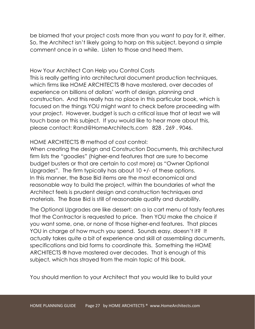be blamed that your project costs more than you want to pay for it, either. So, the Architect isn't likely going to harp on this subject, beyond a simple comment once in a while. Listen to those and heed them.

### How Your Architect Can Help you Control Costs

This is really getting into architectural document production techniques, which firms like HOME ARCHITECTS ® have mastered, over decades of experience on billions of dollars' worth of design, planning and construction. And this really has no place in this particular book, which is focused on the things YOU might want to check before proceeding with your project. However, budget is such a critical issue that at least we will touch base on this subject. If you would like to hear more about this, please contact: Rand@HomeArchitects.com 828 . 269 . 9046.

### HOME ARCHITECTS ® method of cost control:

When creating the design and Construction Documents, this architectural firm lists the "goodies" (higher-end features that are sure to become budget busters or that are certain to cost more) as "Owner Optional Upgrades". The firm typically has about 10 +/- of these options. In this manner, the Base Bid items are the most economical and reasonable way to build the project, within the boundaries of what the Architect feels is prudent design and construction techniques and materials. The Base Bid is still of reasonable quality and durability.

The Optional Upgrades are like dessert: an a la cart menu of tasty features that the Contractor is requested to price. Then YOU make the choice if you want some, one, or none of those higher-end features. That places YOU in charge of how much you spend. Sounds easy, doesn't it? It actually takes quite a bit of experience and skill at assembling documents, specifications and bid forms to coordinate this. Something the HOME ARCHITECTS ® have mastered over decades. That is enough of this subject, which has strayed from the main topic of this book.

You should mention to your Architect that you would like to build your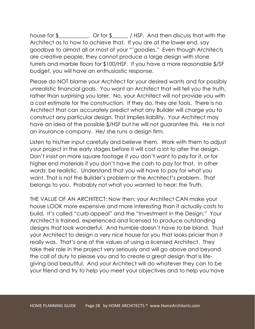house for \$\_\_\_\_\_\_\_\_\_\_\_. Or for \$\_\_\_\_\_\_\_\_\_/ HSF. And then discuss that with the Architect as to how to achieve that. If you are at the lower end, say goodbye to almost all or most of your "'goodies." Even though Architects are creative people, they cannot produce a large design with stone turrets and marble floors for \$100/HSF. If you have a more reasonable \$/SF budget, you will have an enthusiastic response.

Please do NOT blame your Architect for your desired wants and for possibly unrealistic financial goals. You want an Architect that will tell you the truth, rather than surprising you later. No, your Architect will not provide you with a cost estimate for the construction. If they do, they are fools. There is no Architect that can accurately predict what any Builder will charge you to construct any particular design. That implies liability. Your Architect may have an idea of the possible \$/HSF but he will not guarantee this. He is not an insurance company. He/ she runs a design firm.

Listen to his/her input carefully and believe them. Work with them to adjust your project in the early stages before it will cost a lot to alter the design. Don't insist on more square footage if you don't want to pay for it, or for higher end materials if you don't have the cash to pay for that. In other words: be realistic. Understand that you will have to pay for what you want. That is not the Builder's problem or the Architect's problem. That belongs to you. Probably not what you wanted to hear: the Truth.

THE VALUE OF AN ARCHITECT: Now then: your Architect CAN make your house LOOK more expensive and more interesting than it actually costs to build. It's called "curb appeal" and the "Investment in the Design." Your Architect is trained, experienced and licensed to produce outstanding designs that look wonderful. And humble doesn't have to be bland. Trust your Architect to design a very nice house for you that looks pricier than it really was. That's one of the values of using a licensed Architect. They take their role in the project very seriously and will go above and beyond the call of duty to please you and to create a great design that is lifegiving and beautiful. And your Architect will do whatever they can to be your friend and try to help you meet your objectives and to help you have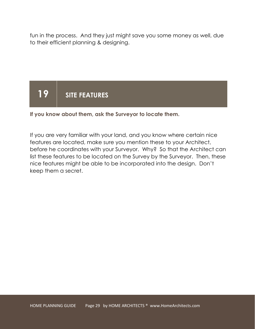fun in the process. And they just might save you some money as well, due to their efficient planning & designing.

### 19 SITE FEATURES

If you know about them, ask the Surveyor to locate them.

If you are very familiar with your land, and you know where certain nice features are located, make sure you mention these to your Architect, before he coordinates with your Surveyor. Why? So that the Architect can list these features to be located on the Survey by the Surveyor. Then, these nice features might be able to be incorporated into the design. Don't keep them a secret.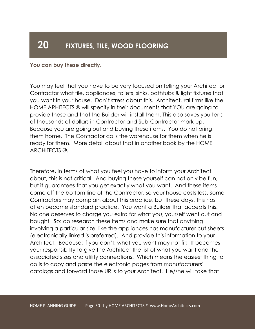#### You can buy these directly.

You may feel that you have to be very focused on telling your Architect or Contractor what tile, appliances, toilets, sinks, bathtubs & light fixtures that you want in your house. Don't stress about this. Architectural firms like the HOME ARHITECTS ® will specify in their documents that YOU are going to provide these and that the Builder will install them. This also saves you tens of thousands of dollars in Contractor and Sub-Contractor mark-up. Because you are going out and buying these items. You do not bring them home. The Contractor calls the warehouse for them when he is ready for them. More detail about that in another book by the HOME ARCHITECTS ®.

Therefore, in terms of what you feel you have to inform your Architect about, this is not critical. And buying these yourself can not only be fun, but it guarantees that you get exactly what you want. And these items come off the bottom line of the Contractor, so your house costs less. Some Contractors may complain about this practice, but these days, this has often become standard practice. You want a Builder that accepts this. No one deserves to charge you extra for what you, yourself went out and bought. So: do research these items and make sure that anything involving a particular size, like the appliances has manufacturer cut sheets (electronically linked is preferred). And provide this information to your Architect. Because: if you don't, what you want may not fit! It becomes your responsibility to give the Architect the list of what you want and the associated sizes and utility connections. Which means the easiest thing to do is to copy and paste the electronic pages from manufacturers' catalogs and forward those URLs to your Architect. He/she will take that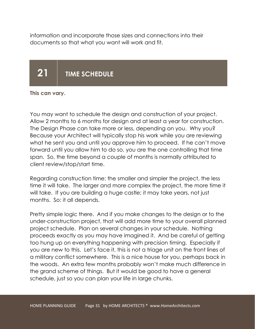information and incorporate those sizes and connections into their documents so that what you want will work and fit.

### 21 | TIME SCHEDULE

#### This can vary.

You may want to schedule the design and construction of your project. Allow 2 months to 6 months for design and at least a year for construction. The Design Phase can take more or less, depending on you. Why you? Because your Architect will typically stop his work while you are reviewing what he sent you and until you approve him to proceed. If he can't move forward until you allow him to do so, you are the one controlling that time span. So, the time beyond a couple of months is normally attributed to client review/stop/start time.

Regarding construction time: the smaller and simpler the project, the less time it will take. The larger and more complex the project, the more time it will take. If you are building a huge castle; it may take years, not just months. So: it all depends.

Pretty simple logic there. And if you make changes to the design or to the under-construction project, that will add more time to your overall planned project schedule. Plan on several changes in your schedule. Nothing proceeds exactly as you may have imagined it. And be careful of getting too hung up on everything happening with precision timing. Especially if you are new to this. Let's face it, this is not a triage unit on the front lines of a military conflict somewhere. This is a nice house for you, perhaps back in the woods. An extra few months probably won't make much difference in the grand scheme of things. But it would be good to have a general schedule, just so you can plan your life in large chunks.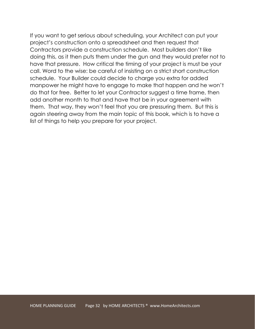If you want to get serious about scheduling, your Architect can put your project's construction onto a spreadsheet and then request that Contractors provide a construction schedule. Most builders don't like doing this, as it then puts them under the gun and they would prefer not to have that pressure. How critical the timing of your project is must be your call. Word to the wise: be careful of insisting on a strict short construction schedule. Your Builder could decide to charge you extra for added manpower he might have to engage to make that happen and he won't do that for free. Better to let your Contractor suggest a time frame, then add another month to that and have that be in your agreement with them. That way, they won't feel that you are pressuring them. But this is again steering away from the main topic of this book, which is to have a list of things to help you prepare for your project.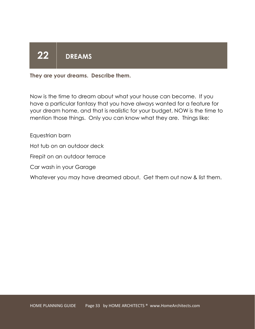# 22 DREAMS

They are your dreams. Describe them.

Now is the time to dream about what your house can become. If you have a particular fantasy that you have always wanted for a feature for your dream home, and that is realistic for your budget, NOW is the time to mention those things. Only you can know what they are. Things like:

Equestrian barn

Hot tub on an outdoor deck

Firepit on an outdoor terrace

Car wash in your Garage

Whatever you may have dreamed about. Get them out now & list them.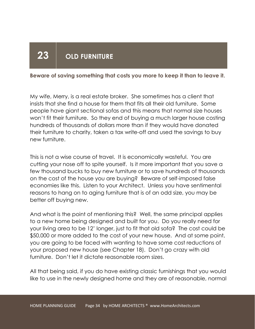### 23 OLD FURNITURE

#### Beware of saving something that costs you more to keep it than to leave it.

My wife, Merry, is a real estate broker. She sometimes has a client that insists that she find a house for them that fits all their old furniture. Some people have giant sectional sofas and this means that normal size houses won't fit their furniture. So they end of buying a much larger house costing hundreds of thousands of dollars more than if they would have donated their furniture to charity, taken a tax write-off and used the savings to buy new furniture.

This is not a wise course of travel. It is economically wasteful. You are cutting your nose off to spite yourself. Is it more important that you save a few thousand bucks to buy new furniture or to save hundreds of thousands on the cost of the house you are buying? Beware of self-imposed false economies like this. Listen to your Architect. Unless you have sentimental reasons to hang on to aging furniture that is of an odd size, you may be better off buying new.

And what is the point of mentioning this? Well, the same principal applies to a new home being designed and built for you. Do you really need for your living area to be 12' longer, just to fit that old sofa? The cost could be \$50,000 or more added to the cost of your new house. And at some point, you are going to be faced with wanting to have some cost reductions of your proposed new house (see Chapter 18). Don't go crazy with old furniture. Don't let it dictate reasonable room sizes.

All that being said, if you do have existing classic furnishings that you would like to use in the newly designed home and they are of reasonable, normal